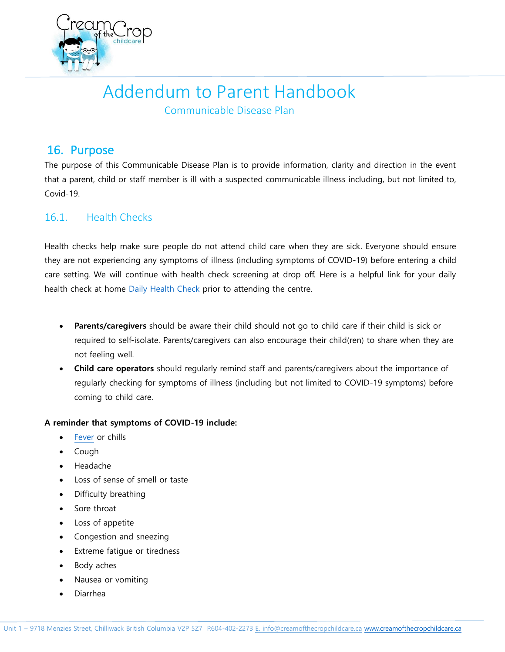

# Addendum to Parent Handbook

Communicable Disease Plan

# 16. Purpose

The purpose of this Communicable Disease Plan is to provide information, clarity and direction in the event that a parent, child or staff member is ill with a suspected communicable illness including, but not limited to, Covid-19.

# 16.1. Health Checks

Health checks help make sure people do not attend child care when they are sick. Everyone should ensure they are not experiencing any symptoms of illness (including symptoms of COVID-19) before entering a child care setting. We will continue with health check screening at drop off. Here is a helpful link for your daily health check at home [Daily Health Check](http://www.bccdc.ca/Health-Info-Site/Documents/COVID_public_guidance/When_to_get_tested.pdf) prior to attending the centre.

- **Parents/caregivers** should be aware their child should not go to child care if their child is sick or required to self-isolate. Parents/caregivers can also encourage their child(ren) to share when they are not feeling well.
- **Child care operators** should regularly remind staff and parents/caregivers about the importance of regularly checking for symptoms of illness (including but not limited to COVID-19 symptoms) before coming to child care.

## **A reminder that symptoms of COVID-19 include:**

- [Fever](https://www.healthlinkbc.ca/health-topics/fevr4) or chills
- Cough
- Headache
- Loss of sense of smell or taste
- Difficulty breathing
- Sore throat
- Loss of appetite
- Congestion and sneezing
- Extreme fatigue or tiredness
- Body aches
- Nausea or vomiting
- Diarrhea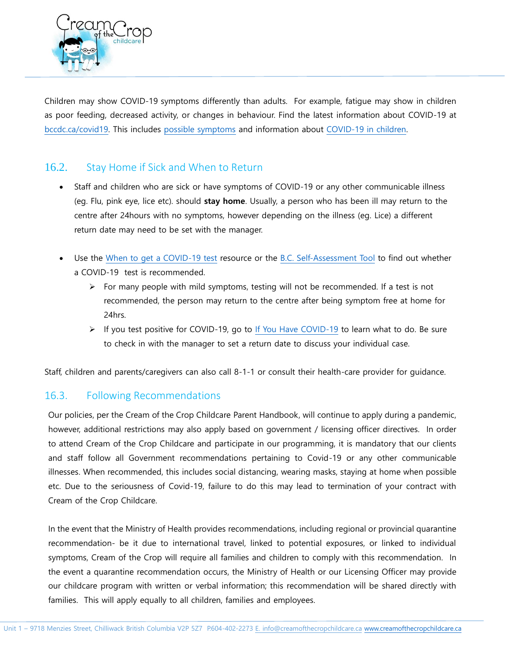

[Children](http://www.bccdc.ca/health-info/diseases-conditions/covid-19/covid-19-and-children) may show COVID-19 symptoms differently than adults. For example, fatigue may show in children as poor feeding, decreased activity, or changes in behaviour. Find the latest information about COVID-19 at [bccdc.ca/covid19.](http://www.bccdc.ca/health-info/diseases-conditions/covid-19) This includes [possible symptoms](http://www.bccdc.ca/health-info/diseases-conditions/covid-19/about-covid-19/symptoms) and information about [COVID-19 in children.](http://www.bccdc.ca/health-info/diseases-conditions/covid-19/covid-19-and-children/covid-19-illness-in-children)

## 16.2. Stay Home if Sick and When to Return

- Staff and children who are sick or have symptoms of COVID-19 or any other communicable illness (eg. Flu, pink eye, lice etc). should **stay home**. Usually, a person who has been ill may return to the centre after 24hours with no symptoms, however depending on the illness (eg. Lice) a different return date may need to be set with the manager.
- Use the [When to get a COVID-19 test](http://www.bccdc.ca/health-info/diseases-conditions/covid-19/testing/when-to-get-a-covid-19-test) resource or the [B.C. Self-Assessment Tool](https://bc.thrive.health/) to find out whether a COVID-19 test is recommended.
	- $\triangleright$  For many people with mild symptoms, testing will not be recommended. If a test is not recommended, the person may return to the centre after being symptom free at home for 24hrs.
	- ➢ If you test positive for COVID-19, go to [If You Have COVID-19](http://www.bccdc.ca/health-info/diseases-conditions/covid-19/if-you-have-covid-19?gclid=CjwKCAjwlcaRBhBYEiwAK341jbqSX0Rj2OJicjifjMTVsZ6pGPC3JusLOoy2-Lj-T2D8Uw1iH8uwHxoCNi4QAvD_BwE) to learn what to do. Be sure to check in with the manager to set a return date to discuss your individual case.

Staff, children and parents/caregivers can also call 8-1-1 or consult their health-care provider for guidance.

## 16.3. Following Recommendations

Our policies, per the Cream of the Crop Childcare Parent Handbook, will continue to apply during a pandemic, however, additional restrictions may also apply based on government / licensing officer directives. In order to attend Cream of the Crop Childcare and participate in our programming, it is mandatory that our clients and staff follow all Government recommendations pertaining to Covid-19 or any other communicable illnesses. When recommended, this includes social distancing, wearing masks, staying at home when possible etc. Due to the seriousness of Covid-19, failure to do this may lead to termination of your contract with Cream of the Crop Childcare.

In the event that the Ministry of Health provides recommendations, including regional or provincial quarantine recommendation- be it due to international travel, linked to potential exposures, or linked to individual symptoms, Cream of the Crop will require all families and children to comply with this recommendation. In the event a quarantine recommendation occurs, the Ministry of Health or our Licensing Officer may provide our childcare program with written or verbal information; this recommendation will be shared directly with families. This will apply equally to all children, families and employees.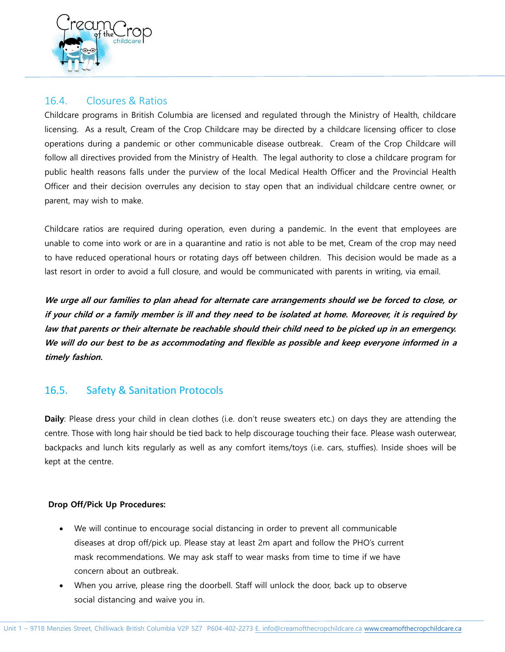

# 16.4. Closures & Ratios

Childcare programs in British Columbia are licensed and regulated through the Ministry of Health, childcare licensing. As a result, Cream of the Crop Childcare may be directed by a childcare licensing officer to close operations during a pandemic or other communicable disease outbreak. Cream of the Crop Childcare will follow all directives provided from the Ministry of Health. The legal authority to close a childcare program for public health reasons falls under the purview of the local Medical Health Officer and the Provincial Health Officer and their decision overrules any decision to stay open that an individual childcare centre owner, or parent, may wish to make.

Childcare ratios are required during operation, even during a pandemic. In the event that employees are unable to come into work or are in a quarantine and ratio is not able to be met, Cream of the crop may need to have reduced operational hours or rotating days off between children. This decision would be made as a last resort in order to avoid a full closure, and would be communicated with parents in writing, via email.

**We urge all our families to plan ahead for alternate care arrangements should we be forced to close, or if your child or a family member is ill and they need to be isolated at home. Moreover, it is required by law that parents or their alternate be reachable should their child need to be picked up in an emergency. We will do our best to be as accommodating and flexible as possible and keep everyone informed in a timely fashion.**

# 16.5. Safety & Sanitation Protocols

**Daily**: Please dress your child in clean clothes (i.e. don't reuse sweaters etc.) on days they are attending the centre. Those with long hair should be tied back to help discourage touching their face. Please wash outerwear, backpacks and lunch kits regularly as well as any comfort items/toys (i.e. cars, stuffies). Inside shoes will be kept at the centre.

#### **Drop Off/Pick Up Procedures:**

- We will continue to encourage social distancing in order to prevent all communicable diseases at drop off/pick up. Please stay at least 2m apart and follow the PHO's current mask recommendations. We may ask staff to wear masks from time to time if we have concern about an outbreak.
- When you arrive, please ring the doorbell. Staff will unlock the door, back up to observe social distancing and waive you in.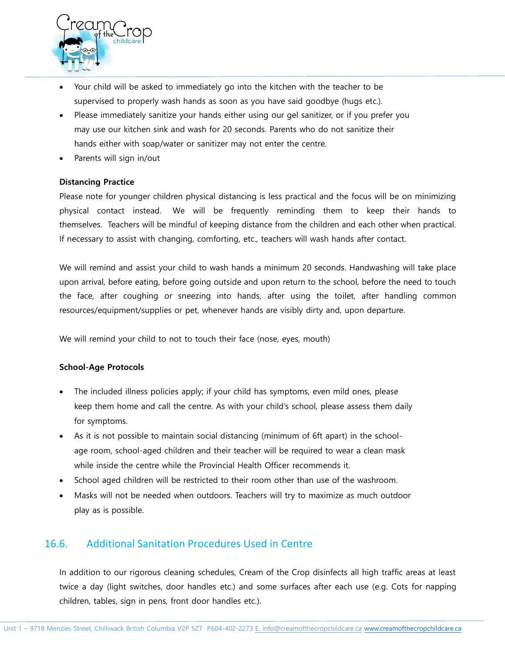

- Your child will be asked to immediately go into the kitchen with the teacher to be supervised to properly wash hands as soon as you have said goodbye (hugs etc.).
- Please immediately sanitize your hands either using our gel sanitizer, or if you prefer you may use our kitchen sink and wash for 20 seconds. Parents who do not sanitize their hands either with soap/water or sanitizer may not enter the centre.
- Parents will sign in/out

#### **Distancing Practice**

Please note for younger children physical distancing is less practical and the focus will be on minimizing physical contact instead. We will be frequently reminding them to keep their hands to themselves. Teachers will be mindful of keeping distance from the children and each other when practical. If necessary to assist with changing, comforting, etc., teachers will wash hands after contact.

We will remind and assist your child to wash hands a minimum 20 seconds. Handwashing will take place upon arrival, before eating, before going outside and upon return to the school, before the need to touch the face, after coughing or sneezing into hands, after using the toilet, after handling common resources/equipment/supplies or pet, whenever hands are visibly dirty and, upon departure.

We will remind your child to not to touch their face (nose, eyes, mouth)

#### **School-Age Protocols**

- The included illness policies apply; if your child has symptoms, even mild ones, please keep them home and call the centre. As with your child's school, please assess them daily for symptoms.
- As it is not possible to maintain social distancing (minimum of 6ft apart) in the schoolage room, school-aged children and their teacher will be required to wear a clean mask while inside the centre while the Provincial Health Officer recommends it.
- School aged children will be restricted to their room other than use of the washroom.
- Masks will not be needed when outdoors. Teachers will try to maximize as much outdoor play as is possible.

# 16.6. Additional Sanitation Procedures Used in Centre

In addition to our rigorous cleaning schedules, Cream of the Crop disinfects all high traffic areas at least twice a day (light switches, door handles etc.) and some surfaces after each use (e.g. Cots for napping children, tables, sign in pens, front door handles etc.).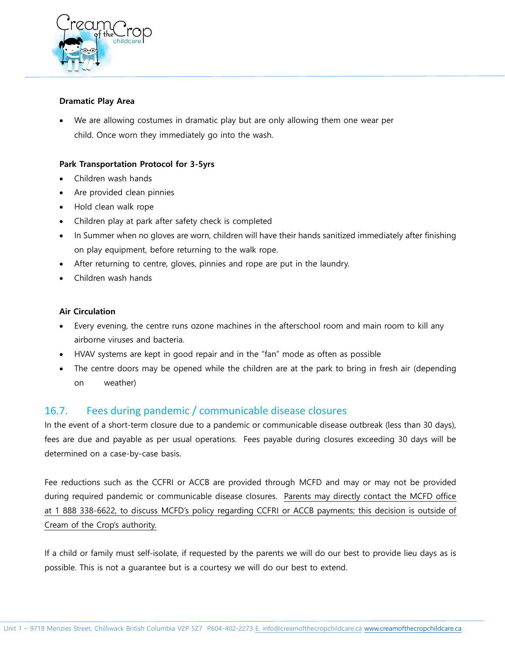

#### **Dramatic Play Area**

We are allowing costumes in dramatic play but are only allowing them one wear per child. Once worn they immediately go into the wash.

#### **Park Transportation Protocol for 3-5yrs**

- Children wash hands
- Are provided clean pinnies
- Hold clean walk rope
- Children play at park after safety check is completed
- In Summer when no gloves are worn, children will have their hands sanitized immediately after finishing on play equipment, before returning to the walk rope.
- After returning to centre, gloves, pinnies and rope are put in the laundry.
- Children wash hands

#### **Air Circulation**

- Every evening, the centre runs ozone machines in the afterschool room and main room to kill any airborne viruses and bacteria.
- HVAV systems are kept in good repair and in the "fan" mode as often as possible
- The centre doors may be opened while the children are at the park to bring in fresh air (depending on weather)

## 16.7. Fees during pandemic / communicable disease closures

In the event of a short-term closure due to a pandemic or communicable disease outbreak (less than 30 days), fees are due and payable as per usual operations. Fees payable during closures exceeding 30 days will be determined on a case-by-case basis.

Fee reductions such as the CCFRI or ACCB are provided through MCFD and may or may not be provided during required pandemic or communicable disease closures. Parents may directly contact the MCFD office at 1 888 338-6622, to discuss MCFD's policy regarding CCFRI or ACCB payments; this decision is outside of Cream of the Crop's authority.

If a child or family must self-isolate, if requested by the parents we will do our best to provide lieu days as is possible. This is not a guarantee but is a courtesy we will do our best to extend.